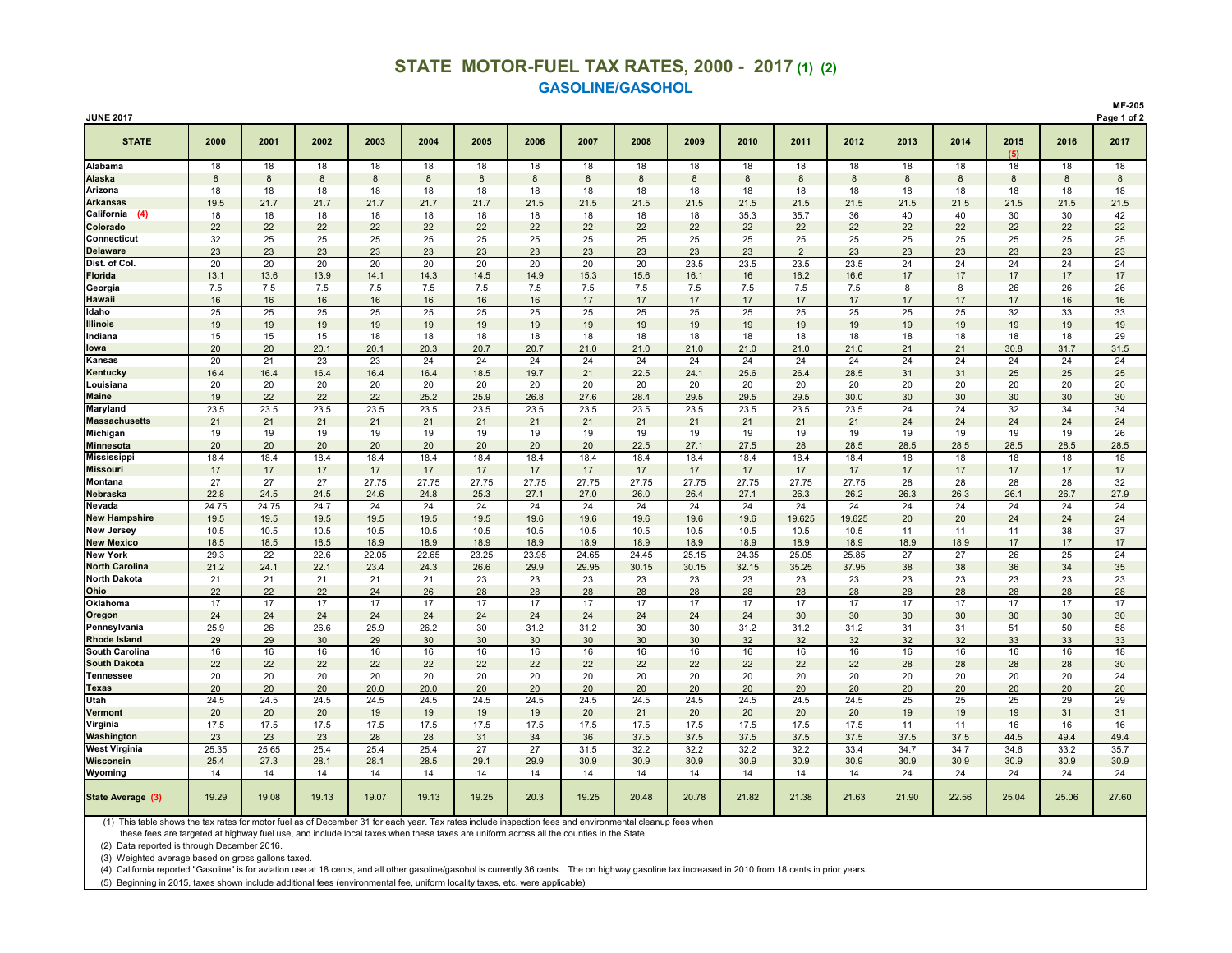## **STATE MOTOR-FUEL TAX RATES, 2000 - 2017 (1) (2) GASOLINE/GASOHOL**

| <b>JUNE 2017</b>      | Page 1 of 2 |       |       |       |              |       |       |       |       |       |       |        |        |       |       |             |       |       |
|-----------------------|-------------|-------|-------|-------|--------------|-------|-------|-------|-------|-------|-------|--------|--------|-------|-------|-------------|-------|-------|
| <b>STATE</b>          | 2000        | 2001  | 2002  | 2003  | 2004         | 2005  | 2006  | 2007  | 2008  | 2009  | 2010  | 2011   | 2012   | 2013  | 2014  | 2015<br>(5) | 2016  | 2017  |
| Alabama               | 18          | 18    | 18    | 18    | 18           | 18    | 18    | 18    | 18    | 18    | 18    | 18     | 18     | 18    | 18    | 18          | 18    | 18    |
| Alaska                | 8           | 8     | 8     | 8     | $\mathbf{8}$ | 8     | 8     | 8     | 8     | 8     | 8     | 8      | 8      | 8     | 8     | 8           | 8     | 8     |
| Arizona               | 18          | 18    | 18    | 18    | 18           | 18    | 18    | 18    | 18    | 18    | 18    | 18     | 18     | 18    | 18    | 18          | 18    | 18    |
| <b>Arkansas</b>       | 19.5        | 21.7  | 21.7  | 21.7  | 21.7         | 21.7  | 21.5  | 21.5  | 21.5  | 21.5  | 21.5  | 21.5   | 21.5   | 21.5  | 21.5  | 21.5        | 21.5  | 21.5  |
| California<br>(4)     | 18          | 18    | 18    | 18    | 18           | 18    | 18    | 18    | 18    | 18    | 35.3  | 35.7   | 36     | 40    | 40    | 30          | 30    | 42    |
| Colorado              | 22          | 22    | 22    | 22    | 22           | 22    | 22    | 22    | 22    | 22    | 22    | 22     | 22     | 22    | 22    | 22          | 22    | 22    |
| Connecticut           | 32          | 25    | 25    | 25    | 25           | 25    | 25    | 25    | 25    | 25    | 25    | 25     | 25     | 25    | 25    | 25          | 25    | 25    |
| <b>Delaware</b>       | 23          | 23    | 23    | 23    | 23           | 23    | 23    | 23    | 23    | 23    | 23    | 2      | 23     | 23    | 23    | 23          | 23    | 23    |
| Dist. of Col.         | 20          | 20    | 20    | 20    | 20           | 20    | 20    | 20    | 20    | 23.5  | 23.5  | 23.5   | 23.5   | 24    | 24    | 24          | 24    | 24    |
| <b>Florida</b>        | 13.1        | 13.6  | 13.9  | 14.1  | 14.3         | 14.5  | 14.9  | 15.3  | 15.6  | 16.1  | 16    | 16.2   | 16.6   | 17    | 17    | 17          | 17    | 17    |
| Georgia               | 7.5         | 7.5   | 7.5   | 7.5   | 7.5          | 7.5   | 7.5   | 7.5   | 7.5   | 7.5   | 7.5   | 7.5    | 7.5    | 8     | 8     | 26          | 26    | 26    |
| <b>Hawaii</b>         | 16          | 16    | 16    | 16    | 16           | 16    | 16    | 17    | 17    | 17    | 17    | 17     | 17     | 17    | 17    | 17          | 16    | 16    |
| Idaho                 | 25          | 25    | 25    | 25    | 25           | 25    | 25    | 25    | 25    | 25    | 25    | 25     | 25     | 25    | 25    | 32          | 33    | 33    |
| <b>Illinois</b>       | 19          | 19    | 19    | 19    | 19           | 19    | 19    | 19    | 19    | 19    | 19    | 19     | 19     | 19    | 19    | 19          | 19    | 19    |
| Indiana               | 15          | 15    | 15    | 18    | 18           | 18    | 18    | 18    | 18    | 18    | 18    | 18     | 18     | 18    | 18    | 18          | 18    | 29    |
| lowa                  | 20          | 20    | 20.1  | 20.1  | 20.3         | 20.7  | 20.7  | 21.0  | 21.0  | 21.0  | 21.0  | 21.0   | 21.0   | 21    | 21    | 30.8        | 31.7  | 31.5  |
| Kansas                | 20          | 21    | 23    | 23    | 24           | 24    | 24    | 24    | 24    | 24    | 24    | 24     | 24     | 24    | 24    | 24          | 24    | 24    |
| Kentucky              | 16.4        | 16.4  | 16.4  | 16.4  | 16.4         | 18.5  | 19.7  | 21    | 22.5  | 24.1  | 25.6  | 26.4   | 28.5   | 31    | 31    | 25          | 25    | 25    |
| Louisiana             | 20          | 20    | 20    | 20    | 20           | 20    | 20    | 20    | 20    | 20    | 20    | 20     | 20     | 20    | 20    | 20          | 20    | 20    |
| <b>Maine</b>          | 19          | 22    | 22    | 22    | 25.2         | 25.9  | 26.8  | 27.6  | 28.4  | 29.5  | 29.5  | 29.5   | 30.0   | 30    | 30    | 30          | 30    | 30    |
| Maryland              | 23.5        | 23.5  | 23.5  | 23.5  | 23.5         | 23.5  | 23.5  | 23.5  | 23.5  | 23.5  | 23.5  | 23.5   | 23.5   | 24    | 24    | 32          | 34    | 34    |
| <b>Massachusetts</b>  | 21          | 21    | 21    | 21    | 21           | 21    | 21    | 21    | 21    | 21    | 21    | 21     | 21     | 24    | 24    | 24          | 24    | 24    |
| Michigan              | 19          | 19    | 19    | 19    | 19           | 19    | 19    | 19    | 19    | 19    | 19    | 19     | 19     | 19    | 19    | 19          | 19    | 26    |
| <b>Minnesota</b>      | 20          | 20    | 20    | 20    | 20           | 20    | 20    | 20    | 22.5  | 27.1  | 27.5  | 28     | 28.5   | 28.5  | 28.5  | 28.5        | 28.5  | 28.5  |
| <b>Mississippi</b>    | 18.4        | 18.4  | 18.4  | 18.4  | 18.4         | 18.4  | 18.4  | 18.4  | 18.4  | 18.4  | 18.4  | 18.4   | 18.4   | 18    | 18    | 18          | 18    | 18    |
| <b>Missouri</b>       | 17          | 17    | 17    | 17    | 17           | 17    | 17    | 17    | 17    | 17    | 17    | 17     | 17     | 17    | 17    | 17          | 17    | 17    |
| Montana               | 27          | 27    | 27    | 27.75 | 27.75        | 27.75 | 27.75 | 27.75 | 27.75 | 27.75 | 27.75 | 27.75  | 27.75  | 28    | 28    | 28          | 28    | 32    |
| Nebraska              | 22.8        | 24.5  | 24.5  | 24.6  | 24.8         | 25.3  | 27.1  | 27.0  | 26.0  | 26.4  | 27.1  | 26.3   | 26.2   | 26.3  | 26.3  | 26.1        | 26.7  | 27.9  |
| Nevada                | 24.75       | 24.75 | 24.7  | 24    | 24           | 24    | 24    | 24    | 24    | 24    | 24    | 24     | 24     | 24    | 24    | 24          | 24    | 24    |
| <b>New Hampshire</b>  | 19.5        | 19.5  | 19.5  | 19.5  | 19.5         | 19.5  | 19.6  | 19.6  | 19.6  | 19.6  | 19.6  | 19.625 | 19.625 | 20    | 20    | 24          | 24    | 24    |
| <b>New Jersey</b>     | 10.5        | 10.5  | 10.5  | 10.5  | 10.5         | 10.5  | 10.5  | 10.5  | 10.5  | 10.5  | 10.5  | 10.5   | 10.5   | 11    | 11    | 11          | 38    | 37    |
| <b>New Mexico</b>     | 18.5        | 18.5  | 18.5  | 18.9  | 18.9         | 18.9  | 18.9  | 18.9  | 18.9  | 18.9  | 18.9  | 18.9   | 18.9   | 18.9  | 18.9  | 17          | 17    | 17    |
| <b>New York</b>       | 29.3        | 22    | 22.6  | 22.05 | 22.65        | 23.25 | 23.95 | 24.65 | 24.45 | 25.15 | 24.35 | 25.05  | 25.85  | 27    | 27    | 26          | 25    | 24    |
| <b>North Carolina</b> | 21.2        | 24.1  | 22.1  | 23.4  | 24.3         | 26.6  | 29.9  | 29.95 | 30.15 | 30.15 | 32.15 | 35.25  | 37.95  | 38    | 38    | 36          | 34    | 35    |
| <b>North Dakota</b>   | 21          | 21    | 21    | 21    | 21           | 23    | 23    | 23    | 23    | 23    | 23    | 23     | 23     | 23    | 23    | 23          | 23    | 23    |
| Ohio                  | 22          | 22    | 22    | 24    | 26           | 28    | 28    | 28    | 28    | 28    | 28    | 28     | 28     | 28    | 28    | 28          | 28    | 28    |
| Oklahoma              | 17          | 17    | 17    | 17    | 17           | 17    | 17    | 17    | 17    | 17    | 17    | 17     | 17     | 17    | 17    | 17          | 17    | 17    |
| Oregon                | 24          | 24    | 24    | 24    | 24           | 24    | 24    | 24    | 24    | 24    | 24    | 30     | 30     | 30    | 30    | 30          | 30    | 30    |
| Pennsylvania          | 25.9        | 26    | 26.6  | 25.9  | 26.2         | 30    | 31.2  | 31.2  | 30    | 30    | 31.2  | 31.2   | 31.2   | 31    | 31    | 51          | 50    | 58    |
| <b>Rhode Island</b>   | 29          | 29    | 30    | 29    | 30           | 30    | 30    | 30    | 30    | 30    | 32    | 32     | 32     | 32    | 32    | 33          | 33    | 33    |
| <b>South Carolina</b> | 16          | 16    | 16    | 16    | 16           | 16    | 16    | 16    | 16    | 16    | 16    | 16     | 16     | 16    | 16    | 16          | 16    | 18    |
| <b>South Dakota</b>   | 22          | 22    | 22    | 22    | 22           | 22    | 22    | 22    | 22    | 22    | 22    | 22     | 22     | 28    | 28    | 28          | 28    | 30    |
| <b>Tennessee</b>      | 20          | 20    | 20    | 20    | 20           | 20    | 20    | 20    | 20    | 20    | 20    | 20     | 20     | 20    | 20    | 20          | 20    | 24    |
| <b>Texas</b>          | 20          | 20    | 20    | 20.0  | 20.0         | 20    | 20    | 20    | 20    | 20    | 20    | 20     | 20     | 20    | 20    | 20          | 20    | 20    |
| Utah                  | 24.5        | 24.5  | 24.5  | 24.5  | 24.5         | 24.5  | 24.5  | 24.5  | 24.5  | 24.5  | 24.5  | 24.5   | 24.5   | 25    | 25    | 25          | 29    | 29    |
| Vermont               | 20          | 20    | 20    | 19    | 19           | 19    | 19    | 20    | 21    | 20    | 20    | 20     | 20     | 19    | 19    | 19          | 31    | 31    |
| Virginia              | 17.5        | 17.5  | 17.5  | 17.5  | 17.5         | 17.5  | 17.5  | 17.5  | 17.5  | 17.5  | 17.5  | 17.5   | 17.5   | 11    | 11    | 16          | 16    | 16    |
| Washington            | 23          | 23    | 23    | 28    | 28           | 31    | 34    | 36    | 37.5  | 37.5  | 37.5  | 37.5   | 37.5   | 37.5  | 37.5  | 44.5        | 49.4  | 49.4  |
| <b>West Virginia</b>  | 25.35       | 25.65 | 25.4  | 25.4  | 25.4         | 27    | 27    | 31.5  | 32.2  | 32.2  | 32.2  | 32.2   | 33.4   | 34.7  | 34.7  | 34.6        | 33.2  | 35.7  |
| Wisconsin             | 25.4        | 27.3  | 28.1  | 28.1  | 28.5         | 29.1  | 29.9  | 30.9  | 30.9  | 30.9  | 30.9  | 30.9   | 30.9   | 30.9  | 30.9  | 30.9        | 30.9  | 30.9  |
| Wyoming               | 14          | 14    | 14    | 14    | 14           | 14    | 14    | 14    | 14    | 14    | 14    | 14     | 14     | 24    | 24    | 24          | 24    | 24    |
| State Average (3)     | 19.29       | 19.08 | 19.13 | 19.07 | 19.13        | 19.25 | 20.3  | 19.25 | 20.48 | 20.78 | 21.82 | 21.38  | 21.63  | 21.90 | 22.56 | 25.04       | 25.06 | 27.60 |

(1) This table shows the tax rates for motor fuel as of December 31 for each year. Tax rates include inspection fees and environmental cleanup fees when

these fees are targeted at highway fuel use, and include local taxes when these taxes are uniform across all the counties in the State.

(2) Data reported is through December 2016.

(3) Weighted average based on gross gallons taxed.

(4) California reported "Gasoline" is for aviation use at 18 cents, and all other gasoline/gasohol is currently 36 cents. The on highway gasoline tax increased in 2010 from 18 cents in prior years.

(5) Beginning in 2015, taxes shown include additional fees (environmental fee, uniform locality taxes, etc. were applicable)

**MF-205**